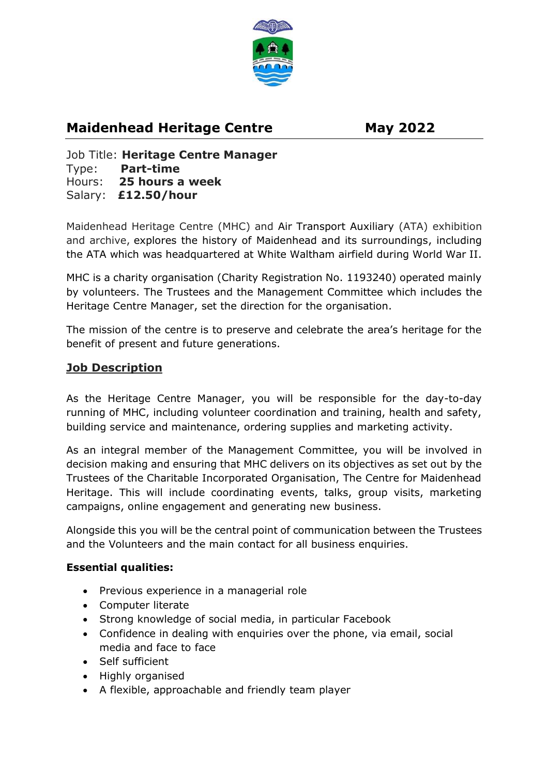

# **Maidenhead Heritage Centre May 2022**

Job Title: **Heritage Centre Manager**  Type: **Part-time** Hours: **25 hours a week** Salary: **£12.50/hour**

Maidenhead Heritage Centre (MHC) and Air Transport Auxiliary (ATA) exhibition and archive, explores the history of Maidenhead and its surroundings, including the ATA which was headquartered at White Waltham airfield during World War II.

MHC is a charity organisation (Charity Registration No. 1193240) operated mainly by volunteers. The Trustees and the Management Committee which includes the Heritage Centre Manager, set the direction for the organisation.

The mission of the centre is to preserve and celebrate the area's heritage for the benefit of present and future generations.

# **Job Description**

As the Heritage Centre Manager, you will be responsible for the day-to-day running of MHC, including volunteer coordination and training, health and safety, building service and maintenance, ordering supplies and marketing activity.

As an integral member of the Management Committee, you will be involved in decision making and ensuring that MHC delivers on its objectives as set out by the Trustees of the Charitable Incorporated Organisation, The Centre for Maidenhead Heritage. This will include coordinating events, talks, group visits, marketing campaigns, online engagement and generating new business.

Alongside this you will be the central point of communication between the Trustees and the Volunteers and the main contact for all business enquiries.

#### **Essential qualities:**

- Previous experience in a managerial role
- Computer literate
- Strong knowledge of social media, in particular Facebook
- Confidence in dealing with enquiries over the phone, via email, social media and face to face
- Self sufficient
- Highly organised
- A flexible, approachable and friendly team player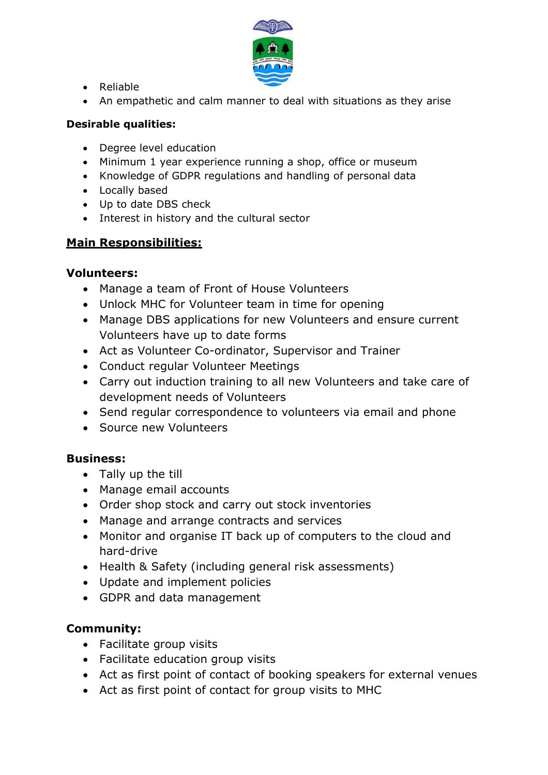

- Reliable
- An empathetic and calm manner to deal with situations as they arise

#### **Desirable qualities:**

- Degree level education
- Minimum 1 year experience running a shop, office or museum
- Knowledge of GDPR regulations and handling of personal data
- Locally based
- Up to date DBS check
- Interest in history and the cultural sector

# **Main Responsibilities:**

#### **Volunteers:**

- Manage a team of Front of House Volunteers
- Unlock MHC for Volunteer team in time for opening
- Manage DBS applications for new Volunteers and ensure current Volunteers have up to date forms
- Act as Volunteer Co-ordinator, Supervisor and Trainer
- Conduct regular Volunteer Meetings
- Carry out induction training to all new Volunteers and take care of development needs of Volunteers
- Send regular correspondence to volunteers via email and phone
- Source new Volunteers

# **Business:**

- Tally up the till
- Manage email accounts
- Order shop stock and carry out stock inventories
- Manage and arrange contracts and services
- Monitor and organise IT back up of computers to the cloud and hard-drive
- Health & Safety (including general risk assessments)
- Update and implement policies
- GDPR and data management

# **Community:**

- Facilitate group visits
- Facilitate education group visits
- Act as first point of contact of booking speakers for external venues
- Act as first point of contact for group visits to MHC